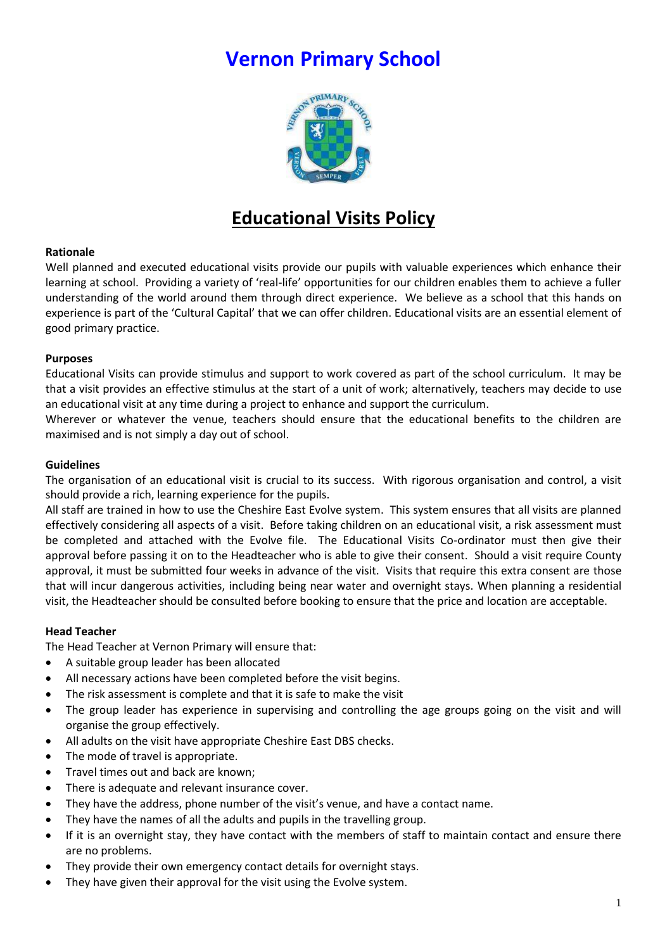# **Vernon Primary School**



## **Educational Visits Policy**

#### **Rationale**

Well planned and executed educational visits provide our pupils with valuable experiences which enhance their learning at school. Providing a variety of 'real-life' opportunities for our children enables them to achieve a fuller understanding of the world around them through direct experience. We believe as a school that this hands on experience is part of the 'Cultural Capital' that we can offer children. Educational visits are an essential element of good primary practice.

#### **Purposes**

Educational Visits can provide stimulus and support to work covered as part of the school curriculum. It may be that a visit provides an effective stimulus at the start of a unit of work; alternatively, teachers may decide to use an educational visit at any time during a project to enhance and support the curriculum.

Wherever or whatever the venue, teachers should ensure that the educational benefits to the children are maximised and is not simply a day out of school.

#### **Guidelines**

The organisation of an educational visit is crucial to its success. With rigorous organisation and control, a visit should provide a rich, learning experience for the pupils.

All staff are trained in how to use the Cheshire East Evolve system. This system ensures that all visits are planned effectively considering all aspects of a visit. Before taking children on an educational visit, a risk assessment must be completed and attached with the Evolve file. The Educational Visits Co-ordinator must then give their approval before passing it on to the Headteacher who is able to give their consent. Should a visit require County approval, it must be submitted four weeks in advance of the visit. Visits that require this extra consent are those that will incur dangerous activities, including being near water and overnight stays. When planning a residential visit, the Headteacher should be consulted before booking to ensure that the price and location are acceptable.

## **Head Teacher**

The Head Teacher at Vernon Primary will ensure that:

- A suitable group leader has been allocated
- All necessary actions have been completed before the visit begins.
- The risk assessment is complete and that it is safe to make the visit
- The group leader has experience in supervising and controlling the age groups going on the visit and will organise the group effectively.
- All adults on the visit have appropriate Cheshire East DBS checks.
- The mode of travel is appropriate.
- Travel times out and back are known;
- There is adequate and relevant insurance cover.
- They have the address, phone number of the visit's venue, and have a contact name.
- They have the names of all the adults and pupils in the travelling group.
- If it is an overnight stay, they have contact with the members of staff to maintain contact and ensure there are no problems.
- They provide their own emergency contact details for overnight stays.
- They have given their approval for the visit using the Evolve system.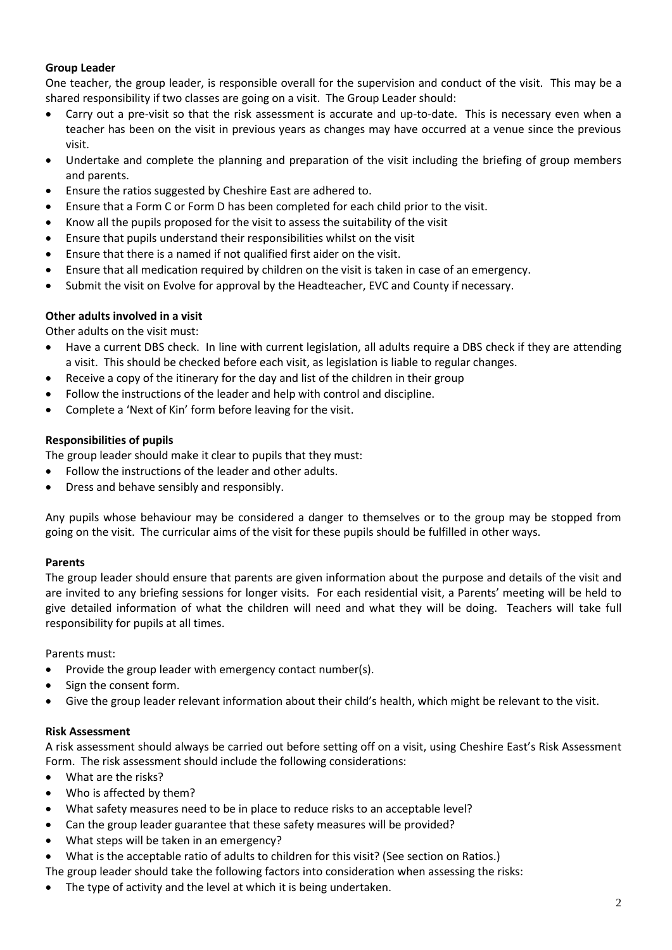#### **Group Leader**

One teacher, the group leader, is responsible overall for the supervision and conduct of the visit. This may be a shared responsibility if two classes are going on a visit. The Group Leader should:

- Carry out a pre-visit so that the risk assessment is accurate and up-to-date. This is necessary even when a teacher has been on the visit in previous years as changes may have occurred at a venue since the previous visit.
- Undertake and complete the planning and preparation of the visit including the briefing of group members and parents.
- Ensure the ratios suggested by Cheshire East are adhered to.
- Ensure that a Form C or Form D has been completed for each child prior to the visit.
- Know all the pupils proposed for the visit to assess the suitability of the visit
- Ensure that pupils understand their responsibilities whilst on the visit
- Ensure that there is a named if not qualified first aider on the visit.
- Ensure that all medication required by children on the visit is taken in case of an emergency.
- Submit the visit on Evolve for approval by the Headteacher, EVC and County if necessary.

## **Other adults involved in a visit**

Other adults on the visit must:

- Have a current DBS check. In line with current legislation, all adults require a DBS check if they are attending a visit. This should be checked before each visit, as legislation is liable to regular changes.
- Receive a copy of the itinerary for the day and list of the children in their group
- Follow the instructions of the leader and help with control and discipline.
- Complete a 'Next of Kin' form before leaving for the visit.

## **Responsibilities of pupils**

The group leader should make it clear to pupils that they must:

- Follow the instructions of the leader and other adults.
- Dress and behave sensibly and responsibly.

Any pupils whose behaviour may be considered a danger to themselves or to the group may be stopped from going on the visit. The curricular aims of the visit for these pupils should be fulfilled in other ways.

## **Parents**

The group leader should ensure that parents are given information about the purpose and details of the visit and are invited to any briefing sessions for longer visits. For each residential visit, a Parents' meeting will be held to give detailed information of what the children will need and what they will be doing. Teachers will take full responsibility for pupils at all times.

Parents must:

- Provide the group leader with emergency contact number(s).
- Sign the consent form.
- Give the group leader relevant information about their child's health, which might be relevant to the visit.

## **Risk Assessment**

A risk assessment should always be carried out before setting off on a visit, using Cheshire East's Risk Assessment Form. The risk assessment should include the following considerations:

- What are the risks?
- Who is affected by them?
- What safety measures need to be in place to reduce risks to an acceptable level?
- Can the group leader guarantee that these safety measures will be provided?
- What steps will be taken in an emergency?
- What is the acceptable ratio of adults to children for this visit? (See section on Ratios.)
- The group leader should take the following factors into consideration when assessing the risks:
- The type of activity and the level at which it is being undertaken.